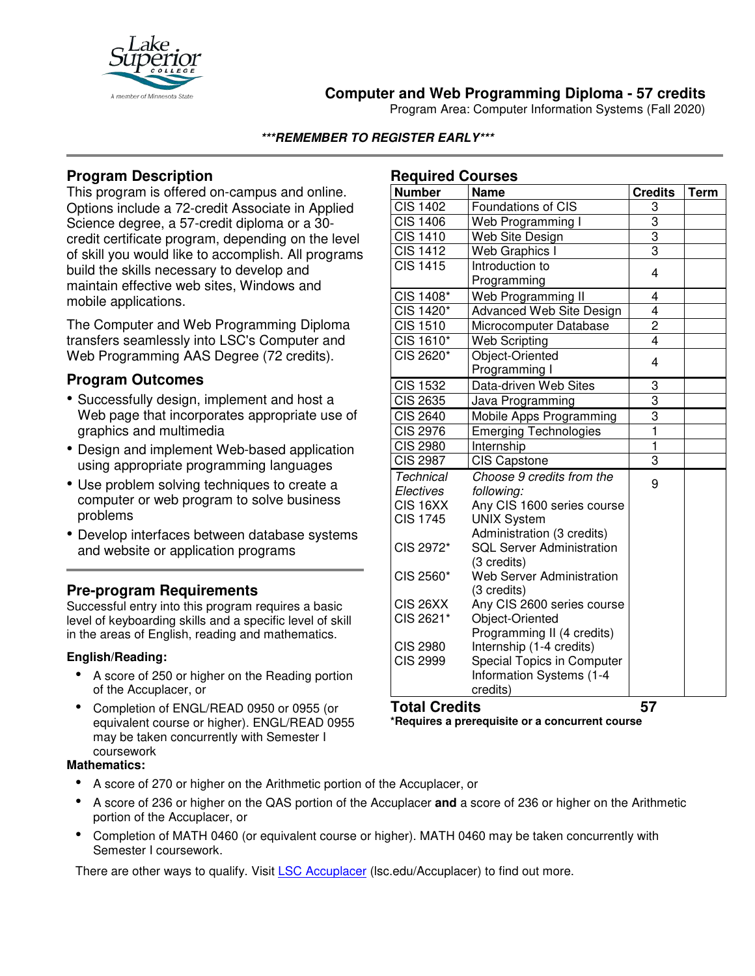

# **Computer and Web Programming Diploma - 57 credits**

Program Area: Computer Information Systems (Fall 2020)

### **\*\*\*REMEMBER TO REGISTER EARLY\*\*\***

# **Program Description**

This program is offered on-campus and online. Options include a 72-credit Associate in Applied Science degree, a 57-credit diploma or a 30 credit certificate program, depending on the level of skill you would like to accomplish. All programs build the skills necessary to develop and maintain effective web sites, Windows and mobile applications.

The Computer and Web Programming Diploma transfers seamlessly into LSC's Computer and Web Programming AAS Degree (72 credits).

## **Program Outcomes**

- Successfully design, implement and host a Web page that incorporates appropriate use of graphics and multimedia
- Design and implement Web-based application using appropriate programming languages
- Use problem solving techniques to create a computer or web program to solve business problems
- Develop interfaces between database systems and website or application programs

## **Pre-program Requirements**

Successful entry into this program requires a basic level of keyboarding skills and a specific level of skill in the areas of English, reading and mathematics.

### **English/Reading:**

- A score of 250 or higher on the Reading portion of the Accuplacer, or
- Completion of ENGL/READ 0950 or 0955 (or equivalent course or higher). ENGL/READ 0955 may be taken concurrently with Semester I coursework

#### **Mathematics:**

- A score of 270 or higher on the Arithmetic portion of the Accuplacer, or
- A score of 236 or higher on the QAS portion of the Accuplacer **and** a score of 236 or higher on the Arithmetic portion of the Accuplacer, or
- Completion of MATH 0460 (or equivalent course or higher). MATH 0460 may be taken concurrently with Semester I coursework.

There are other ways to qualify. Visit [LSC Accuplacer](https://www.lsc.edu/accuplacer/) (lsc.edu/Accuplacer) to find out more.

|  | <b>Required Courses</b> |
|--|-------------------------|
|  |                         |

| nequirea Courses     |                                           |                         |      |  |
|----------------------|-------------------------------------------|-------------------------|------|--|
| <b>Number</b>        | <b>Name</b>                               | <b>Credits</b>          | Term |  |
| <b>CIS 1402</b>      | Foundations of CIS                        | 3                       |      |  |
| <b>CIS 1406</b>      | Web Programming I                         | 3                       |      |  |
| <b>CIS 1410</b>      | Web Site Design                           | 3                       |      |  |
| <b>CIS 1412</b>      | Web Graphics I                            | $\overline{3}$          |      |  |
| <b>CIS 1415</b>      | Introduction to                           | 4                       |      |  |
|                      | Programming                               |                         |      |  |
| CIS 1408*            | Web Programming II                        | 4                       |      |  |
| CIS 1420*            | Advanced Web Site Design                  | 4                       |      |  |
| <b>CIS 1510</b>      | Microcomputer Database                    | $\frac{2}{4}$           |      |  |
| CIS 1610*            | <b>Web Scripting</b>                      |                         |      |  |
| CIS 2620*            | Object-Oriented<br>Programming I          | 4                       |      |  |
| <b>CIS 1532</b>      | Data-driven Web Sites                     | 3                       |      |  |
| <b>CIS 2635</b>      | Java Programming                          | 3                       |      |  |
| <b>CIS 2640</b>      | Mobile Apps Programming                   | 3                       |      |  |
| <b>CIS 2976</b>      | <b>Emerging Technologies</b>              | $\overline{\mathbf{1}}$ |      |  |
| <b>CIS 2980</b>      | Internship                                | $\overline{\mathbf{1}}$ |      |  |
| <b>CIS 2987</b>      | <b>CIS Capstone</b>                       | 3                       |      |  |
| <b>Technical</b>     | Choose 9 credits from the                 | 9                       |      |  |
| Electives            | following:                                |                         |      |  |
| CIS <sub>16</sub> XX | Any CIS 1600 series course                |                         |      |  |
| <b>CIS 1745</b>      | <b>UNIX System</b>                        |                         |      |  |
|                      | Administration (3 credits)                |                         |      |  |
| CIS 2972*            | <b>SQL Server Administration</b>          |                         |      |  |
|                      | (3 credits)                               |                         |      |  |
| CIS 2560*            | Web Server Administration                 |                         |      |  |
| <b>CIS 26XX</b>      | (3 credits)<br>Any CIS 2600 series course |                         |      |  |
| CIS 2621*            | Object-Oriented                           |                         |      |  |
|                      | Programming II (4 credits)                |                         |      |  |
| <b>CIS 2980</b>      | Internship (1-4 credits)                  |                         |      |  |
| <b>CIS 2999</b>      | Special Topics in Computer                |                         |      |  |
|                      | Information Systems (1-4                  |                         |      |  |
|                      | credits)                                  |                         |      |  |
| ш,                   |                                           |                         |      |  |

#### **Total Credits 57**

**\*Requires a prerequisite or a concurrent course**